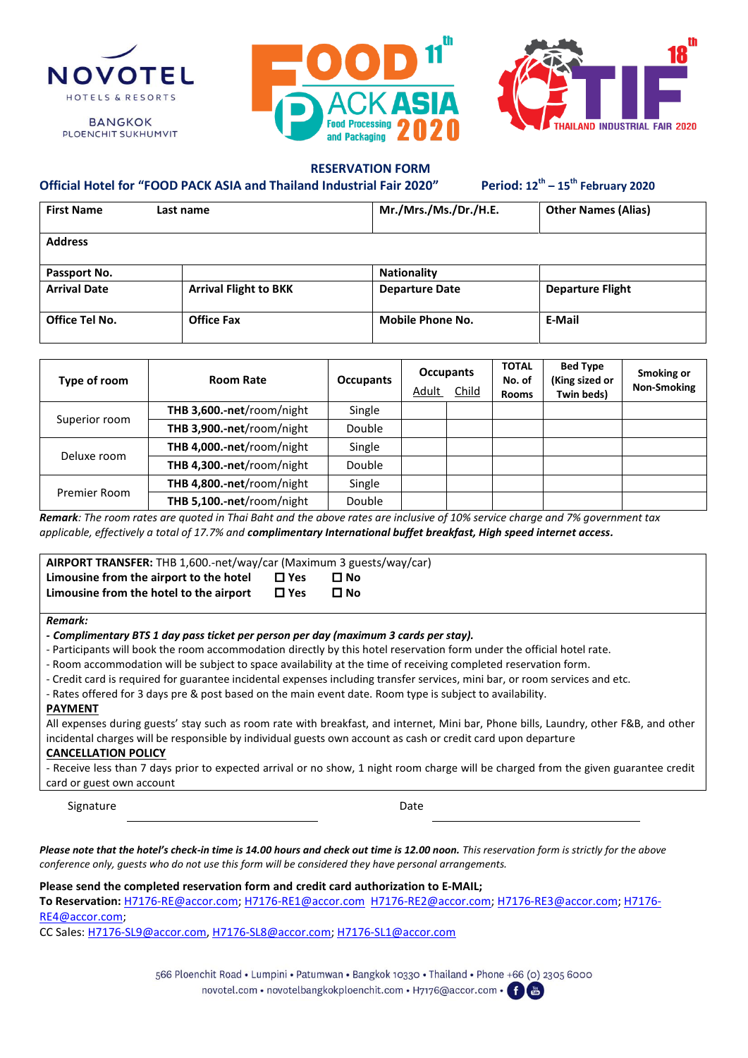

**BANGKOK PLOENCHIT SUKHUMVIT** 





### **RESERVATION FORM**

**– 15th February 2020**

| <b>First Name</b>   | Last name                    | Mr./Mrs./Ms./Dr./H.E.   | <b>Other Names (Alias)</b> |
|---------------------|------------------------------|-------------------------|----------------------------|
| <b>Address</b>      |                              |                         |                            |
| Passport No.        |                              | <b>Nationality</b>      |                            |
| <b>Arrival Date</b> | <b>Arrival Flight to BKK</b> | <b>Departure Date</b>   | <b>Departure Flight</b>    |
| Office Tel No.      | <b>Office Fax</b>            | <b>Mobile Phone No.</b> | E-Mail                     |

| Type of room  | <b>Room Rate</b>            | <b>Occupants</b> | <b>Occupants</b><br>Adult<br><b>Child</b> | <b>TOTAL</b><br>No. of<br><b>Rooms</b> | <b>Bed Type</b><br>(King sized or<br>Twin beds) | Smoking or<br><b>Non-Smoking</b> |
|---------------|-----------------------------|------------------|-------------------------------------------|----------------------------------------|-------------------------------------------------|----------------------------------|
| Superior room | THB 3,600 .- net/room/night | Single           |                                           |                                        |                                                 |                                  |
|               | THB 3,900 .- net/room/night | Double           |                                           |                                        |                                                 |                                  |
|               | THB 4,000 .- net/room/night | Single           |                                           |                                        |                                                 |                                  |
| Deluxe room   | THB 4,300.-net/room/night   | Double           |                                           |                                        |                                                 |                                  |
| Premier Room  | THB 4,800.-net/room/night   | Single           |                                           |                                        |                                                 |                                  |
|               | THB 5,100 .- net/room/night | Double           |                                           |                                        |                                                 |                                  |

*Remark: The room rates are quoted in Thai Baht and the above rates are inclusive of 10% service charge and 7% government tax applicable, effectively a total of 17.7% and complimentary International buffet breakfast, High speed internet access.*

| AIRPORT TRANSFER: THB 1,600.-net/way/car (Maximum 3 guests/way/car)                |                                |              |
|------------------------------------------------------------------------------------|--------------------------------|--------------|
| Limousine from the airport to the hotel<br>Limousine from the hotel to the airport | $\square$ Yes<br>$\square$ Yes | □ No<br>□ No |
|                                                                                    |                                |              |

#### *Remark:*

**Official Hotel for "FOOD PACK ASIA and Thailand Industrial Fair 2020"** 

- Participants will book the room accommodation directly by this hotel reservation form under the official hotel rate.
- Room accommodation will be subject to space availability at the time of receiving completed reservation form.
- Credit card is required for guarantee incidental expenses including transfer services, mini bar, or room services and etc.
- Rates offered for 3 days pre & post based on the main event date. Room type is subject to availability.

#### **PAYMENT**

All expenses during guests' stay such as room rate with breakfast, and internet, Mini bar, Phone bills, Laundry, other F&B, and other incidental charges will be responsible by individual guests own account as cash or credit card upon departure

#### **CANCELLATION POLICY**

- Receive less than 7 days prior to expected arrival or no show, 1 night room charge will be charged from the given guarantee credit card or guest own account

Signature Date

*Please note that the hotel's check-in time is 14.00 hours and check out time is 12.00 noon. This reservation form is strictly for the above conference only, guests who do not use this form will be considered they have personal arrangements.*

**Please send the completed reservation form and credit card authorization to E-MAIL;**

**To Reservation:** [H7176-RE@accor.com;](mailto:H7176-RE@accor.com) [H7176-RE1@accor.com](mailto:H7176-RE1@accor.com) [H7176-RE2@accor.com;](mailto:H7176-RE2@accor.com) [H7176-RE3@accor.com;](mailto:H7176-RE3@accor.com) [H7176-](mailto:H7176-RE4@accor.com) [RE4@accor.com;](mailto:H7176-RE4@accor.com)

CC Sales: [H7176-SL9@accor.com,](mailto:H7176-SL9@accor.com) [H7176-SL8@accor.com;](mailto:H7176-SL8@accor.com) [H7176-SL1@accor.com](mailto:H7176-SL1@accor.com)

566 Ploenchit Road • Lumpini • Patumwan • Bangkok 10330 • Thailand • Phone +66 (0) 2305 6000 novotel.com • novotelbangkokploenchit.com • H7176@accor.com • 1

*<sup>-</sup> Complimentary BTS 1 day pass ticket per person per day (maximum 3 cards per stay).*